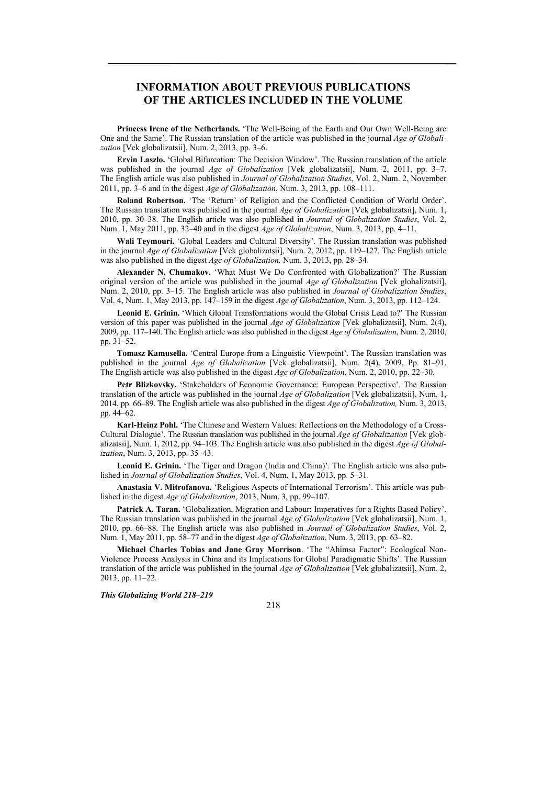## **INFORMATION ABOUT PREVIOUS PUBLICATIONS OF THE ARTICLES INCLUDED IN THE VOLUME**

**Princess Irene of the Netherlands.** 'The Well-Being of the Earth and Our Own Well-Being are One and the Same'. The Russian translation of the article was published in the journal *Age of Globalization* [Vek globalizatsii], Num. 2, 2013, pp. 3–6.

**Ervin Laszlo.** 'Global Bifurcation: The Decision Window'. The Russian translation of the article was published in the journal *Age of Globalization* [Vek globalizatsii], Num. 2, 2011, pp. 3–7. The English article was also published in *Journal of Globalization Studies*, Vol. 2, Num. 2, November 2011, pp. 3–6 and in the digest *Age of Globalization*, Num. 3, 2013, pp. 108–111.

**Roland Robertson.** 'The 'Return' of Religion and the Conflicted Condition of World Order'. The Russian translation was published in the journal *Age of Globalization* [Vek globalizatsii], Num. 1, 2010, pp. 30–38. The English article was also published in *Journal of Globalization Studies*, Vol. 2, Num. 1, May 2011, pp. 32–40 and in the digest *Age of Globalization*, Num. 3, 2013, pp. 4–11.

**Wali Teymouri.** 'Global Leaders and Cultural Diversity'. The Russian translation was published in the journal *Age of Globalization* [Vek globalizatsii], Num. 2, 2012, pp. 119–127. The English article was also published in the digest *Age of Globalization,* Num. 3, 2013, pp. 28–34.

**Alexander N. Chumakov.** 'What Must We Do Confronted with Globalization?' The Russian original version of the article was published in the journal *Age of Globalization* [Vek globalizatsii], Num. 2, 2010, pp. 3–15. The English article was also published in *Journal of Globalization Studies*, Vol. 4, Num. 1, May 2013, pp. 147–159 in the digest *Age of Globalization*, Num. 3, 2013, pp. 112–124.

**Leonid E. Grinin.** 'Which Global Transformations would the Global Crisis Lead to?' The Russian version of this paper was published in the journal *Age of Globalization* [Vek globalizatsii], Num. 2(4), 2009, pp. 117–140. The English article was also published in the digest *Age of Globalization*, Num. 2, 2010, pp. 31–52.

**Tomasz Kamusella.** 'Central Europe from a Linguistic Viewpoint'. The Russian translation was published in the journal *Age of Globalization* [Vek globalizatsii], Num. 2(4), 2009, Pp. 81–91. The English article was also published in the digest *Age of Globalization*, Num. 2, 2010, pp. 22–30.

**Petr Blizkovsky.** 'Stakeholders of Economic Governance: European Perspective'. The Russian translation of the article was published in the journal *Age of Globalization* [Vek globalizatsii], Num. 1, 2014, pp. 66–89. The English article was also published in the digest *Age of Globalization,* Num. 3, 2013, pp. 44–62.

**Karl-Heinz Pohl.** 'The Chinese and Western Values: Reflections on the Methodology of a Cross-Cultural Dialogue'. The Russian translation was published in the journal *Age of Globalization* [Vek globalizatsii], Num. 1, 2012, pp. 94–103. The English article was also published in the digest *Age of Globalization*, Num. 3, 2013, pp. 35–43.

**Leonid E. Grinin.** 'The Tiger and Dragon (India and China)'. The English article was also published in *Journal of Globalization Studies*, Vol. 4, Num. 1, May 2013, pp. 5–31.

**Anastasia V. Mitrofanova.** 'Religious Aspects of International Terrorism'. This article was published in the digest *Age of Globalization*, 2013, Num. 3, pp. 99–107.

**Patrick A. Taran.** 'Globalization, Migration and Labour: Imperatives for a Rights Based Policy'. The Russian translation was published in the journal *Age of Globalization* [Vek globalizatsii], Num. 1, 2010, pp. 66–88. The English article was also published in *Journal of Globalization Studies*, Vol. 2, Num. 1, May 2011, pp. 58–77 and in the digest *Age of Globalization*, Num. 3, 2013, pp. 63–82.

**Michael Charles Tobias and Jane Gray Morrison**. 'The "Ahimsa Factor": Ecological Non-Violence Process Analysis in China and its Implications for Global Paradigmatic Shifts'. The Russian translation of the article was published in the journal *Age of Globalization* [Vek globalizatsii], Num. 2, 2013, pp. 11–22.

*This Globalizing World 218–219* 

218